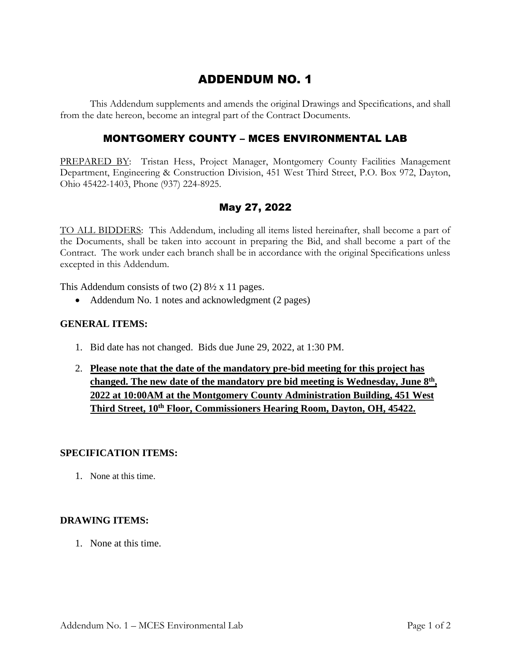# ADDENDUM NO. 1

This Addendum supplements and amends the original Drawings and Specifications, and shall from the date hereon, become an integral part of the Contract Documents.

### MONTGOMERY COUNTY – MCES ENVIRONMENTAL LAB

PREPARED BY: Tristan Hess, Project Manager, Montgomery County Facilities Management Department, Engineering & Construction Division, 451 West Third Street, P.O. Box 972, Dayton, Ohio 45422-1403, Phone (937) 224-8925.

## May 27, 2022

TO ALL BIDDERS: This Addendum, including all items listed hereinafter, shall become a part of the Documents, shall be taken into account in preparing the Bid, and shall become a part of the Contract. The work under each branch shall be in accordance with the original Specifications unless excepted in this Addendum.

This Addendum consists of two (2) 8½ x 11 pages.

• Addendum No. 1 notes and acknowledgment (2 pages)

#### **GENERAL ITEMS:**

- 1. Bid date has not changed. Bids due June 29, 2022, at 1:30 PM.
- 2. **Please note that the date of the mandatory pre-bid meeting for this project has changed. The new date of the mandatory pre bid meeting is Wednesday, June 8th , 2022 at 10:00AM at the Montgomery County Administration Building, 451 West Third Street, 10th Floor, Commissioners Hearing Room, Dayton, OH, 45422.**

#### **SPECIFICATION ITEMS:**

1. None at this time.

#### **DRAWING ITEMS:**

1. None at this time.